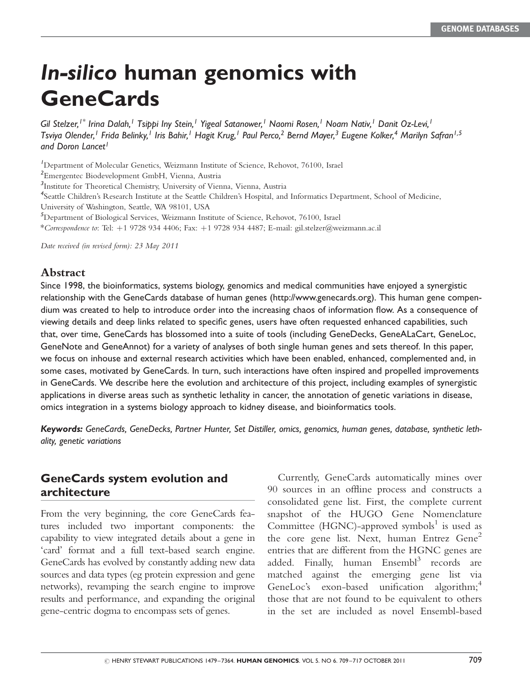# In-silico human genomics with **GeneCards**

Gil Stelzer,<sup>1\*</sup> Irina Dalah,<sup>1</sup> Tsippi Iny Stein,<sup>1</sup> Yigeal Satanower,<sup>1</sup> Naomi Rosen,<sup>1</sup> Noam Nativ,<sup>1</sup> Danit Oz-Levi,<sup>1</sup> Tsviya Olender,<sup>1</sup> Frida Belinky,<sup>1</sup> Iris Bahir,<sup>1</sup> Hagit Krug,<sup>1</sup> Paul Perco,<sup>2</sup> Bernd Mayer,<sup>3</sup> Eugene Kolker,<sup>4</sup> Marilyn Safran<sup>1,5</sup> and Doron Lancet<sup>1</sup>

1 Department of Molecular Genetics, Weizmann Institute of Science, Rehovot, 76100, Israel <sup>2</sup>Emergentec Biodevelopment GmbH, Vienna, Austria <sup>3</sup>Institute for Theoretical Chemistry, University of Vienna, Vienna, Austria <sup>4</sup>Seattle Children's Research Institute at the Seattle Children's Hospital, and Informatics Department, School of Medicine, University of Washington, Seattle, WA 98101, USA 5 Department of Biological Services, Weizmann Institute of Science, Rehovot, 76100, Israel \*Correspondence to: Tel: þ1 9728 934 4406; Fax: þ1 9728 934 4487; E-mail: gil.stelzer@weizmann.ac.il

Date received (in revised form): 23 May 2011

#### **Abstract**

Since 1998, the bioinformatics, systems biology, genomics and medical communities have enjoyed a synergistic relationship with the GeneCards database of human genes (http://www.genecards.org). This human gene compendium was created to help to introduce order into the increasing chaos of information flow. As a consequence of viewing details and deep links related to specific genes, users have often requested enhanced capabilities, such that, over time, GeneCards has blossomed into a suite of tools (including GeneDecks, GeneALaCart, GeneLoc, GeneNote and GeneAnnot) for a variety of analyses of both single human genes and sets thereof. In this paper, we focus on inhouse and external research activities which have been enabled, enhanced, complemented and, in some cases, motivated by GeneCards. In turn, such interactions have often inspired and propelled improvements in GeneCards. We describe here the evolution and architecture of this project, including examples of synergistic applications in diverse areas such as synthetic lethality in cancer, the annotation of genetic variations in disease, omics integration in a systems biology approach to kidney disease, and bioinformatics tools.

Keywords: GeneCards, GeneDecks, Partner Hunter, Set Distiller, omics, genomics, human genes, database, synthetic lethality, genetic variations

## GeneCards system evolution and architecture

From the very beginning, the core GeneCards features included two important components: the capability to view integrated details about a gene in 'card' format and a full text-based search engine. GeneCards has evolved by constantly adding new data sources and data types (eg protein expression and gene networks), revamping the search engine to improve results and performance, and expanding the original gene-centric dogma to encompass sets of genes.

Currently, GeneCards automatically mines over 90 sources in an offline process and constructs a consolidated gene list. First, the complete current snapshot of the HUGO Gene Nomenclature Committee (HGNC)-approved symbols<sup>1</sup> is used as the core gene list. Next, human Entrez  $Gene<sup>2</sup>$ entries that are different from the HGNC genes are added. Finally, human  $Ensembl<sup>3</sup>$  records are matched against the emerging gene list via GeneLoc's exon-based unification algorithm;<sup>4</sup> those that are not found to be equivalent to others in the set are included as novel Ensembl-based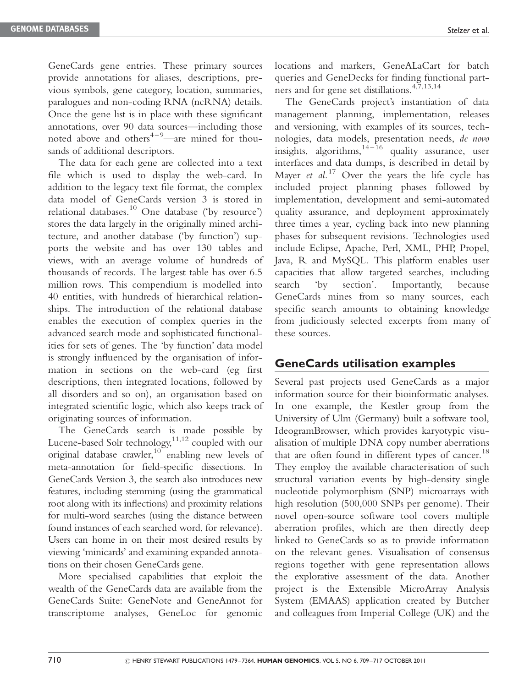GeneCards gene entries. These primary sources provide annotations for aliases, descriptions, previous symbols, gene category, location, summaries, paralogues and non-coding RNA (ncRNA) details. Once the gene list is in place with these significant annotations, over 90 data sources—including those noted above and others<sup> $4-9$ </sup>—are mined for thousands of additional descriptors.

The data for each gene are collected into a text file which is used to display the web-card. In addition to the legacy text file format, the complex data model of GeneCards version 3 is stored in relational databases.<sup>10</sup> One database ('by resource') stores the data largely in the originally mined architecture, and another database ('by function') supports the website and has over 130 tables and views, with an average volume of hundreds of thousands of records. The largest table has over 6.5 million rows. This compendium is modelled into 40 entities, with hundreds of hierarchical relationships. The introduction of the relational database enables the execution of complex queries in the advanced search mode and sophisticated functionalities for sets of genes. The 'by function' data model is strongly influenced by the organisation of information in sections on the web-card (eg first descriptions, then integrated locations, followed by all disorders and so on), an organisation based on integrated scientific logic, which also keeps track of originating sources of information.

The GeneCards search is made possible by Lucene-based Solr technology, $11,12$  coupled with our original database crawler,<sup>10</sup> enabling new levels of meta-annotation for field-specific dissections. In GeneCards Version 3, the search also introduces new features, including stemming (using the grammatical root along with its inflections) and proximity relations for multi-word searches (using the distance between found instances of each searched word, for relevance). Users can home in on their most desired results by viewing 'minicards' and examining expanded annotations on their chosen GeneCards gene.

More specialised capabilities that exploit the wealth of the GeneCards data are available from the GeneCards Suite: GeneNote and GeneAnnot for transcriptome analyses, GeneLoc for genomic

locations and markers, GeneALaCart for batch queries and GeneDecks for finding functional partners and for gene set distillations.<sup>4,7,13,14</sup>

The GeneCards project's instantiation of data management planning, implementation, releases and versioning, with examples of its sources, technologies, data models, presentation needs, de novo insights, algorithms,  $14-16$  quality assurance, user interfaces and data dumps, is described in detail by Mayer et al.<sup>17</sup> Over the years the life cycle has included project planning phases followed by implementation, development and semi-automated quality assurance, and deployment approximately three times a year, cycling back into new planning phases for subsequent revisions. Technologies used include Eclipse, Apache, Perl, XML, PHP, Propel, Java, R and MySQL. This platform enables user capacities that allow targeted searches, including search 'by section'. Importantly, because GeneCards mines from so many sources, each specific search amounts to obtaining knowledge from judiciously selected excerpts from many of these sources.

## GeneCards utilisation examples

Several past projects used GeneCards as a major information source for their bioinformatic analyses. In one example, the Kestler group from the University of Ulm (Germany) built a software tool, IdeogramBrowser, which provides karyotypic visualisation of multiple DNA copy number aberrations that are often found in different types of cancer.<sup>18</sup> They employ the available characterisation of such structural variation events by high-density single nucleotide polymorphism (SNP) microarrays with high resolution (500,000 SNPs per genome). Their novel open-source software tool covers multiple aberration profiles, which are then directly deep linked to GeneCards so as to provide information on the relevant genes. Visualisation of consensus regions together with gene representation allows the explorative assessment of the data. Another project is the Extensible MicroArray Analysis System (EMAAS) application created by Butcher and colleagues from Imperial College (UK) and the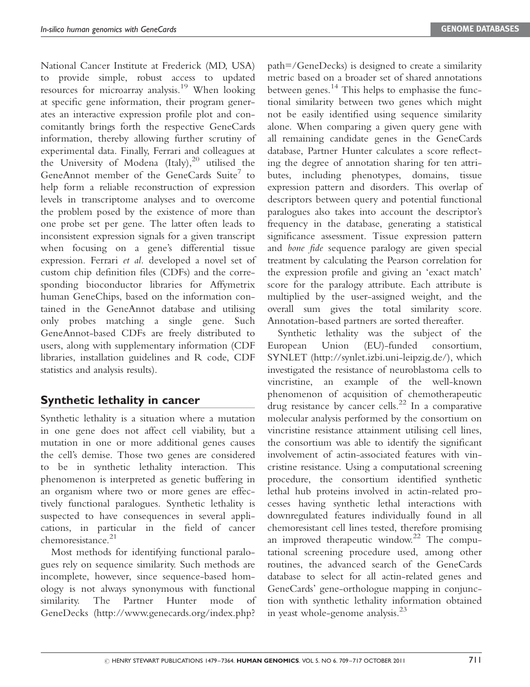National Cancer Institute at Frederick (MD, USA) to provide simple, robust access to updated resources for microarray analysis.<sup>19</sup> When looking at specific gene information, their program generates an interactive expression profile plot and concomitantly brings forth the respective GeneCards information, thereby allowing further scrutiny of experimental data. Finally, Ferrari and colleagues at the University of Modena  $(Italy)<sup>20</sup>$  utilised the GeneAnnot member of the GeneCards Suite<sup>7</sup> to help form a reliable reconstruction of expression levels in transcriptome analyses and to overcome the problem posed by the existence of more than one probe set per gene. The latter often leads to inconsistent expression signals for a given transcript when focusing on a gene's differential tissue expression. Ferrari et al. developed a novel set of custom chip definition files (CDFs) and the corresponding bioconductor libraries for Affymetrix human GeneChips, based on the information contained in the GeneAnnot database and utilising only probes matching a single gene. Such GeneAnnot-based CDFs are freely distributed to users, along with supplementary information (CDF libraries, installation guidelines and R code, CDF statistics and analysis results).

## Synthetic lethality in cancer

Synthetic lethality is a situation where a mutation in one gene does not affect cell viability, but a mutation in one or more additional genes causes the cell's demise. Those two genes are considered to be in synthetic lethality interaction. This phenomenon is interpreted as genetic buffering in an organism where two or more genes are effectively functional paralogues. Synthetic lethality is suspected to have consequences in several applications, in particular in the field of cancer chemoresistance.<sup>21</sup>

Most methods for identifying functional paralogues rely on sequence similarity. Such methods are incomplete, however, since sequence-based homology is not always synonymous with functional similarity. The Partner Hunter mode of GeneDecks (http://www.genecards.org/index.php? path=/GeneDecks) is designed to create a similarity metric based on a broader set of shared annotations between genes.<sup>14</sup> This helps to emphasise the functional similarity between two genes which might not be easily identified using sequence similarity alone. When comparing a given query gene with all remaining candidate genes in the GeneCards database, Partner Hunter calculates a score reflecting the degree of annotation sharing for ten attributes, including phenotypes, domains, tissue expression pattern and disorders. This overlap of descriptors between query and potential functional paralogues also takes into account the descriptor's frequency in the database, generating a statistical significance assessment. Tissue expression pattern and bone fide sequence paralogy are given special treatment by calculating the Pearson correlation for the expression profile and giving an 'exact match' score for the paralogy attribute. Each attribute is multiplied by the user-assigned weight, and the overall sum gives the total similarity score. Annotation-based partners are sorted thereafter.

Synthetic lethality was the subject of the European Union (EU)-funded consortium, SYNLET (http://synlet.izbi.uni-leipzig.de/), which investigated the resistance of neuroblastoma cells to vincristine, an example of the well-known phenomenon of acquisition of chemotherapeutic drug resistance by cancer cells.<sup>22</sup> In a comparative molecular analysis performed by the consortium on vincristine resistance attainment utilising cell lines, the consortium was able to identify the significant involvement of actin-associated features with vincristine resistance. Using a computational screening procedure, the consortium identified synthetic lethal hub proteins involved in actin-related processes having synthetic lethal interactions with downregulated features individually found in all chemoresistant cell lines tested, therefore promising an improved therapeutic window.<sup>22</sup> The computational screening procedure used, among other routines, the advanced search of the GeneCards database to select for all actin-related genes and GeneCards' gene-orthologue mapping in conjunction with synthetic lethality information obtained in yeast whole-genome analysis.<sup>23</sup>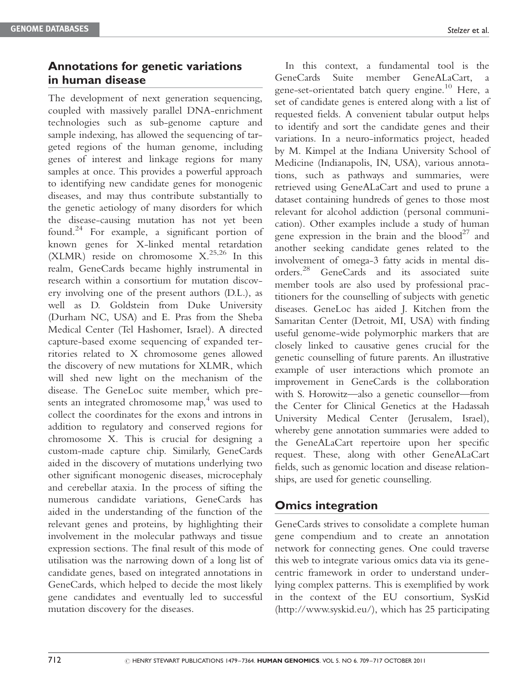## Annotations for genetic variations in human disease

The development of next generation sequencing, coupled with massively parallel DNA-enrichment technologies such as sub-genome capture and sample indexing, has allowed the sequencing of targeted regions of the human genome, including genes of interest and linkage regions for many samples at once. This provides a powerful approach to identifying new candidate genes for monogenic diseases, and may thus contribute substantially to the genetic aetiology of many disorders for which the disease-causing mutation has not yet been found.<sup>24</sup> For example, a significant portion of known genes for X-linked mental retardation (XLMR) reside on chromosome  $X^{25,26}$  In this realm, GeneCards became highly instrumental in research within a consortium for mutation discovery involving one of the present authors (D.L.), as well as D. Goldstein from Duke University (Durham NC, USA) and E. Pras from the Sheba Medical Center (Tel Hashomer, Israel). A directed capture-based exome sequencing of expanded territories related to X chromosome genes allowed the discovery of new mutations for XLMR, which will shed new light on the mechanism of the disease. The GeneLoc suite member, which presents an integrated chromosome map,<sup>4</sup> was used to collect the coordinates for the exons and introns in addition to regulatory and conserved regions for chromosome X. This is crucial for designing a custom-made capture chip. Similarly, GeneCards aided in the discovery of mutations underlying two other significant monogenic diseases, microcephaly and cerebellar ataxia. In the process of sifting the numerous candidate variations, GeneCards has aided in the understanding of the function of the relevant genes and proteins, by highlighting their involvement in the molecular pathways and tissue expression sections. The final result of this mode of utilisation was the narrowing down of a long list of candidate genes, based on integrated annotations in GeneCards, which helped to decide the most likely gene candidates and eventually led to successful mutation discovery for the diseases.

In this context, a fundamental tool is the GeneCards Suite member GeneALaCart, a gene-set-orientated batch query engine.<sup>10</sup> Here, a set of candidate genes is entered along with a list of requested fields. A convenient tabular output helps to identify and sort the candidate genes and their variations. In a neuro-informatics project, headed by M. Kimpel at the Indiana University School of Medicine (Indianapolis, IN, USA), various annotations, such as pathways and summaries, were retrieved using GeneALaCart and used to prune a dataset containing hundreds of genes to those most relevant for alcohol addiction (personal communication). Other examples include a study of human gene expression in the brain and the blood $^{27}$  and another seeking candidate genes related to the involvement of omega-3 fatty acids in mental disorders.28 GeneCards and its associated suite member tools are also used by professional practitioners for the counselling of subjects with genetic diseases. GeneLoc has aided J. Kitchen from the Samaritan Center (Detroit, MI, USA) with finding useful genome-wide polymorphic markers that are closely linked to causative genes crucial for the genetic counselling of future parents. An illustrative example of user interactions which promote an improvement in GeneCards is the collaboration with S. Horowitz—also a genetic counsellor—from the Center for Clinical Genetics at the Hadassah University Medical Center (Jerusalem, Israel), whereby gene annotation summaries were added to the GeneALaCart repertoire upon her specific request. These, along with other GeneALaCart fields, such as genomic location and disease relationships, are used for genetic counselling.

## Omics integration

GeneCards strives to consolidate a complete human gene compendium and to create an annotation network for connecting genes. One could traverse this web to integrate various omics data via its genecentric framework in order to understand underlying complex patterns. This is exemplified by work in the context of the EU consortium, SysKid (http://www.syskid.eu/), which has 25 participating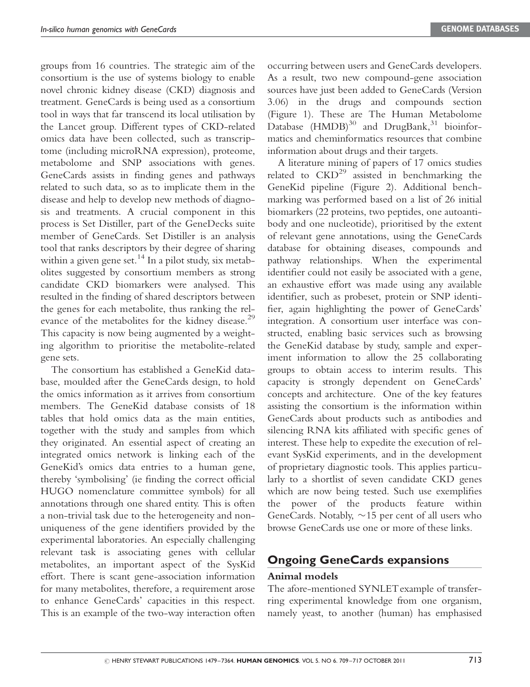groups from 16 countries. The strategic aim of the consortium is the use of systems biology to enable novel chronic kidney disease (CKD) diagnosis and treatment. GeneCards is being used as a consortium tool in ways that far transcend its local utilisation by the Lancet group. Different types of CKD-related omics data have been collected, such as transcriptome (including microRNA expression), proteome, metabolome and SNP associations with genes. GeneCards assists in finding genes and pathways related to such data, so as to implicate them in the disease and help to develop new methods of diagnosis and treatments. A crucial component in this process is Set Distiller, part of the GeneDecks suite member of GeneCards. Set Distiller is an analysis tool that ranks descriptors by their degree of sharing within a given gene set. $14$  In a pilot study, six metabolites suggested by consortium members as strong candidate CKD biomarkers were analysed. This resulted in the finding of shared descriptors between the genes for each metabolite, thus ranking the relevance of the metabolites for the kidney disease.<sup>29</sup> This capacity is now being augmented by a weighting algorithm to prioritise the metabolite-related gene sets.

The consortium has established a GeneKid database, moulded after the GeneCards design, to hold the omics information as it arrives from consortium members. The GeneKid database consists of 18 tables that hold omics data as the main entities, together with the study and samples from which they originated. An essential aspect of creating an integrated omics network is linking each of the GeneKid's omics data entries to a human gene, thereby 'symbolising' (ie finding the correct official HUGO nomenclature committee symbols) for all annotations through one shared entity. This is often a non-trivial task due to the heterogeneity and nonuniqueness of the gene identifiers provided by the experimental laboratories. An especially challenging relevant task is associating genes with cellular metabolites, an important aspect of the SysKid effort. There is scant gene-association information for many metabolites, therefore, a requirement arose to enhance GeneCards' capacities in this respect. This is an example of the two-way interaction often

occurring between users and GeneCards developers. As a result, two new compound-gene association sources have just been added to GeneCards (Version 3.06) in the drugs and compounds section (Figure 1). These are The Human Metabolome Database  $(HMDB)^{30}$  and DrugBank,<sup>31</sup> bioinformatics and cheminformatics resources that combine information about drugs and their targets.

A literature mining of papers of 17 omics studies related to  $CKD<sup>29</sup>$  assisted in benchmarking the GeneKid pipeline (Figure 2). Additional benchmarking was performed based on a list of 26 initial biomarkers (22 proteins, two peptides, one autoantibody and one nucleotide), prioritised by the extent of relevant gene annotations, using the GeneCards database for obtaining diseases, compounds and pathway relationships. When the experimental identifier could not easily be associated with a gene, an exhaustive effort was made using any available identifier, such as probeset, protein or SNP identifier, again highlighting the power of GeneCards' integration. A consortium user interface was constructed, enabling basic services such as browsing the GeneKid database by study, sample and experiment information to allow the 25 collaborating groups to obtain access to interim results. This capacity is strongly dependent on GeneCards' concepts and architecture. One of the key features assisting the consortium is the information within GeneCards about products such as antibodies and silencing RNA kits affiliated with specific genes of interest. These help to expedite the execution of relevant SysKid experiments, and in the development of proprietary diagnostic tools. This applies particularly to a shortlist of seven candidate CKD genes which are now being tested. Such use exemplifies the power of the products feature within GeneCards. Notably,  $\sim$  15 per cent of all users who browse GeneCards use one or more of these links.

## Ongoing GeneCards expansions

#### Animal models

The afore-mentioned SYNLET example of transferring experimental knowledge from one organism, namely yeast, to another (human) has emphasised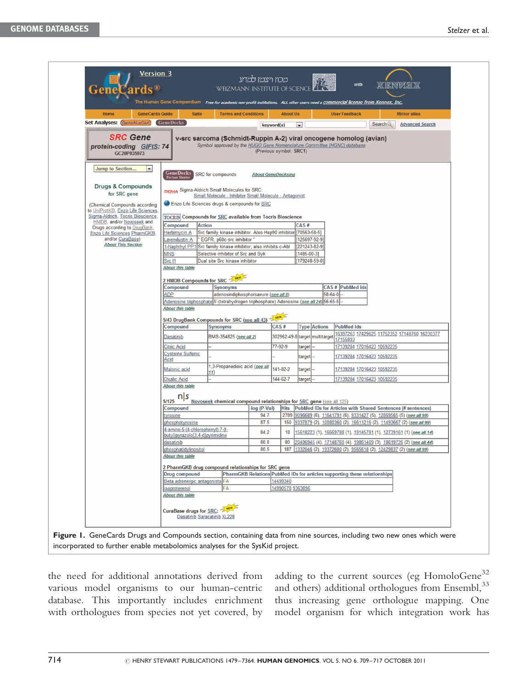| Home<br><b>GeneCards Guide</b>                                     |                                                                                                           | <b>Suite</b>                                                         | The Human Gene Compendium Free for academic non-profit institutions. ALL other users need a commercial license from Xennex, Inc.<br><b>Terms and Conditions</b> |                           |                                    | <b>About Us</b>     |                                                             |                                                                        |                                                                     | <b>User Feedback</b>                                                      |                            |                            | <b>Mirror sites</b>                                                |  |  |
|--------------------------------------------------------------------|-----------------------------------------------------------------------------------------------------------|----------------------------------------------------------------------|-----------------------------------------------------------------------------------------------------------------------------------------------------------------|---------------------------|------------------------------------|---------------------|-------------------------------------------------------------|------------------------------------------------------------------------|---------------------------------------------------------------------|---------------------------------------------------------------------------|----------------------------|----------------------------|--------------------------------------------------------------------|--|--|
| Set Analyses: (GeneALaCart) (GeneDecks)                            |                                                                                                           |                                                                      |                                                                                                                                                                 |                           | keyword(s)                         |                     | $\sim$                                                      |                                                                        |                                                                     |                                                                           | Search                     |                            | <b>Advanced Search</b>                                             |  |  |
| <b>SRC Gene</b><br>protein-coding GIFtS: 74<br>GC20P035973         |                                                                                                           |                                                                      | v-src sarcoma (Schmidt-Ruppin A-2) viral oncogene homolog (avian)<br>Symbol approved by the HUGO Gene Nomenclature Committee (HGNC) database                    | (Previous symbol: SRC1)   |                                    |                     |                                                             |                                                                        |                                                                     |                                                                           |                            |                            |                                                                    |  |  |
| Jump to Section<br>$\blacksquare$                                  | GeneDecks                                                                                                 |                                                                      | SRC for compounds                                                                                                                                               | <b>About GeneDecksing</b> |                                    |                     |                                                             |                                                                        |                                                                     |                                                                           |                            |                            |                                                                    |  |  |
| <b>Drugs &amp; Compounds</b><br>for SRC gene                       |                                                                                                           |                                                                      | SIGMA Sigma-Aldrich Small Molecules for SRC:<br>Small Molecule - Inhibitor Small Molecule - Antagonist                                                          |                           |                                    |                     |                                                             |                                                                        |                                                                     |                                                                           |                            |                            |                                                                    |  |  |
| (Chemical Compounds according<br>to UniProtKB, Enzo Life Sciences. |                                                                                                           |                                                                      | Enzo Life Sciences drugs & compounds for SRC                                                                                                                    |                           |                                    |                     |                                                             |                                                                        |                                                                     |                                                                           |                            |                            |                                                                    |  |  |
| Sigma-Aldrich, Tocris Bioscience,<br>HMDB, and/or Novoseek and     |                                                                                                           | <b>Action</b>                                                        | TOCRIS Compounds for SRC available from Tocris Bioscience                                                                                                       |                           |                                    |                     | CAS#                                                        |                                                                        |                                                                     |                                                                           |                            |                            |                                                                    |  |  |
| Drugs according to DrugBank,<br>Enzo Life Sciences PharmGKB.       | Compound<br>Herbimycin A                                                                                  |                                                                      | Src family kinase inhibitor. Also Hsp90 inhibitor [70563-58-5]                                                                                                  |                           |                                    |                     |                                                             |                                                                        |                                                                     |                                                                           |                            |                            |                                                                    |  |  |
| and/or CuraBase)<br><b>About This Section</b>                      | avendustin A                                                                                              | ' EGFR, p60c-src inhibitor                                           |                                                                                                                                                                 |                           | 125697-92-9                        |                     |                                                             |                                                                        |                                                                     |                                                                           |                            |                            |                                                                    |  |  |
|                                                                    | <b>MNS</b>                                                                                                | 1-Naphthyl PP1 Src family kinase inhibitor; also inhibits c-Abl      |                                                                                                                                                                 |                           | [221243-82-9]<br>$[1485 - 00 - 3]$ |                     |                                                             |                                                                        |                                                                     |                                                                           |                            |                            |                                                                    |  |  |
|                                                                    | Src 11                                                                                                    | Selective inhibitor of Src and Syk<br>Dual site Src kinase inhibitor |                                                                                                                                                                 |                           |                                    |                     | [179248-59-0]                                               |                                                                        |                                                                     |                                                                           |                            |                            |                                                                    |  |  |
|                                                                    | About this table                                                                                          |                                                                      |                                                                                                                                                                 |                           |                                    |                     |                                                             |                                                                        |                                                                     |                                                                           |                            |                            |                                                                    |  |  |
|                                                                    | 2 HMDB Compounds for SRC                                                                                  |                                                                      |                                                                                                                                                                 |                           |                                    |                     |                                                             |                                                                        |                                                                     |                                                                           |                            |                            |                                                                    |  |  |
|                                                                    | Compound                                                                                                  |                                                                      |                                                                                                                                                                 |                           |                                    |                     |                                                             | CAS# PubMed Ids                                                        |                                                                     |                                                                           |                            |                            |                                                                    |  |  |
|                                                                    | ADP                                                                                                       | adenosindiphosphorsaeure (see all 8)                                 |                                                                                                                                                                 |                           |                                    |                     | $58 - 64 - 0$                                               |                                                                        |                                                                     |                                                                           |                            |                            |                                                                    |  |  |
|                                                                    | Adenosine triphosphate 5'-(tetrahydrogen triphosphate) Adenosine (see all 24) 56-65-5<br>About this table |                                                                      |                                                                                                                                                                 |                           |                                    |                     |                                                             |                                                                        |                                                                     |                                                                           |                            |                            |                                                                    |  |  |
|                                                                    |                                                                                                           | 5/43 DrugBank Compounds for SRC (see all 43)                         |                                                                                                                                                                 |                           |                                    |                     |                                                             |                                                                        |                                                                     |                                                                           |                            |                            |                                                                    |  |  |
|                                                                    | Compound                                                                                                  | CAS#                                                                 |                                                                                                                                                                 |                           |                                    | <b>Type Actions</b> |                                                             | <b>PubMed Ids</b>                                                      |                                                                     |                                                                           |                            |                            |                                                                    |  |  |
|                                                                    | Dasatinib                                                                                                 |                                                                      | BMS-354825 (see all 2)                                                                                                                                          |                           |                                    | 302962-49-8         |                                                             | target multitarget                                                     |                                                                     | 17155893                                                                  |                            |                            | 16397263 17429625 11752352 17148760 16230377                       |  |  |
|                                                                    | <b>Citric Acid</b>                                                                                        |                                                                      |                                                                                                                                                                 |                           | 77-92-9                            |                     | target                                                      |                                                                        |                                                                     | 17139284 17016423 10592235                                                |                            |                            |                                                                    |  |  |
|                                                                    | Cysteine Sulfenic<br>Acid                                                                                 |                                                                      |                                                                                                                                                                 |                           |                                    |                     |                                                             | target                                                                 |                                                                     | 17139284 17016423 10592235                                                |                            |                            |                                                                    |  |  |
|                                                                    | Malonic acid                                                                                              |                                                                      | 1,3-Propanedioic acid (see all                                                                                                                                  |                           |                                    | 141-82-2            |                                                             | target-                                                                |                                                                     |                                                                           | 17139284 17016423 10592235 |                            |                                                                    |  |  |
|                                                                    | Oxalic Acid                                                                                               |                                                                      | 11)                                                                                                                                                             |                           | 144-62-7                           |                     | target                                                      |                                                                        |                                                                     |                                                                           |                            | 17139284 17016423 10592235 |                                                                    |  |  |
|                                                                    | About this table                                                                                          |                                                                      |                                                                                                                                                                 |                           |                                    |                     |                                                             |                                                                        |                                                                     |                                                                           |                            |                            |                                                                    |  |  |
|                                                                    | n s<br>5/125<br>Novoseek chemical compound relationships for SRC gene (see all 125)                       |                                                                      |                                                                                                                                                                 |                           |                                    |                     |                                                             |                                                                        |                                                                     |                                                                           |                            |                            |                                                                    |  |  |
|                                                                    | Compound                                                                                                  |                                                                      |                                                                                                                                                                 | -log (P-Val)              |                                    | Hits                | PubMed IDs for Articles with Shared Sentences (# sentences) |                                                                        |                                                                     |                                                                           |                            |                            |                                                                    |  |  |
|                                                                    | tyrosine                                                                                                  |                                                                      |                                                                                                                                                                 | 94.7                      |                                    |                     |                                                             | 2789 9096689 (6), 11641791 (6), 9331427 (5), 12869565 (5) (see all 99) |                                                                     |                                                                           |                            |                            |                                                                    |  |  |
|                                                                    | phosphotyrosine                                                                                           |                                                                      |                                                                                                                                                                 | 87.5                      |                                    | 150                 |                                                             |                                                                        |                                                                     |                                                                           |                            |                            | 9337879 (2), 10880360 (2), 16611216 (2), 11493667 (2) (see all 99) |  |  |
|                                                                    |                                                                                                           | 4-amino-5-(4-chlorophenyl)-7-(t-<br>butyl)pyrazolo[3,4-d]pyrimidine  |                                                                                                                                                                 |                           |                                    | 18                  |                                                             |                                                                        | 15618223 (1), 16669788 (1), 19145781 (1), 12739161 (1) (see all 14) |                                                                           |                            |                            |                                                                    |  |  |
|                                                                    | dasatinib                                                                                                 |                                                                      |                                                                                                                                                                 | 80.8                      |                                    | 80                  |                                                             |                                                                        | 20406945 (4), 17148760 (4), 19861409 (3), 18619726 (2) (see all 44) |                                                                           |                            |                            |                                                                    |  |  |
|                                                                    | phosphatidylinositol<br>About this table                                                                  | 80.5                                                                 |                                                                                                                                                                 |                           |                                    |                     |                                                             | 187 1332046 (2), 19372600 (2), 9565618 (2), 12429837 (2) (see all 99)  |                                                                     |                                                                           |                            |                            |                                                                    |  |  |
|                                                                    |                                                                                                           |                                                                      |                                                                                                                                                                 |                           |                                    |                     |                                                             |                                                                        |                                                                     |                                                                           |                            |                            |                                                                    |  |  |
|                                                                    | Drug compound                                                                                             |                                                                      | 2 PharmGKB drug compound relationships for SRC gene                                                                                                             |                           |                                    |                     |                                                             |                                                                        |                                                                     | PharmGKB Relations PubMed IDs for articles supporting these relationships |                            |                            |                                                                    |  |  |
|                                                                    | Beta adrenergic antagonists FA                                                                            |                                                                      |                                                                                                                                                                 |                           |                                    | 14499340            |                                                             |                                                                        |                                                                     |                                                                           |                            |                            |                                                                    |  |  |
|                                                                    | isoproterenol                                                                                             |                                                                      | FA                                                                                                                                                              |                           |                                    | 14990578 9363896    |                                                             |                                                                        |                                                                     |                                                                           |                            |                            |                                                                    |  |  |
|                                                                    | About this table                                                                                          |                                                                      |                                                                                                                                                                 |                           |                                    |                     |                                                             |                                                                        |                                                                     |                                                                           |                            |                            |                                                                    |  |  |
|                                                                    |                                                                                                           |                                                                      |                                                                                                                                                                 |                           |                                    |                     |                                                             |                                                                        |                                                                     |                                                                           |                            |                            |                                                                    |  |  |
|                                                                    | CuraBase drugs for SRC:<br>Dasatinib Saracatinib XL228                                                    |                                                                      |                                                                                                                                                                 |                           |                                    |                     |                                                             |                                                                        |                                                                     |                                                                           |                            |                            |                                                                    |  |  |

the need for additional annotations derived from various model organisms to our human-centric database. This importantly includes enrichment with orthologues from species not yet covered, by adding to the current sources (eg HomoloGene<sup>32</sup> and others) additional orthologues from Ensembl,<sup>33</sup> thus increasing gene orthologue mapping. One model organism for which integration work has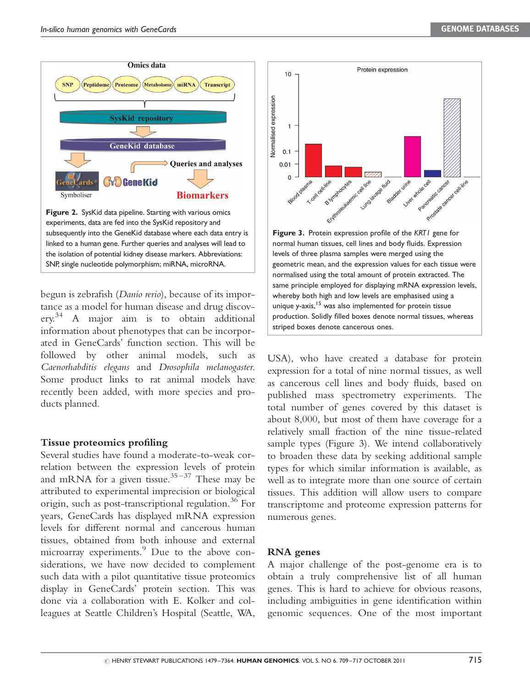



begun is zebrafish (Danio rerio), because of its impor-SNP, single nucleotide polymorphism; miRNA, microRNA.

tance as a model for human disease and drug discovery. <sup>34</sup> A major aim is to obtain additional information about phenotypes that can be incorporated in GeneCards' function section. This will be followed by other animal models, such as Caenorhabditis elegans and Drosophila melanogaster. Some product links to rat animal models have recently been added, with more species and products planned.

#### Tissue proteomics profiling

Several studies have found a moderate-to-weak correlation between the expression levels of protein and mRNA for a given tissue.<sup>35-37</sup> These may be attributed to experimental imprecision or biological origin, such as post-transcriptional regulation.<sup>36</sup> For years, GeneCards has displayed mRNA expression levels for different normal and cancerous human tissues, obtained from both inhouse and external microarray experiments.<sup>9</sup> Due to the above considerations, we have now decided to complement such data with a pilot quantitative tissue proteomics display in GeneCards' protein section. This was done via a collaboration with E. Kolker and colleagues at Seattle Children's Hospital (Seattle, WA,



USA), who have created a database for protein expression for a total of nine normal tissues, as well as cancerous cell lines and body fluids, based on published mass spectrometry experiments. The total number of genes covered by this dataset is about 8,000, but most of them have coverage for a relatively small fraction of the nine tissue-related sample types (Figure 3). We intend collaboratively to broaden these data by seeking additional sample types for which similar information is available, as well as to integrate more than one source of certain tissues. This addition will allow users to compare transcriptome and proteome expression patterns for numerous genes.

#### RNA genes

A major challenge of the post-genome era is to obtain a truly comprehensive list of all human genes. This is hard to achieve for obvious reasons, including ambiguities in gene identification within genomic sequences. One of the most important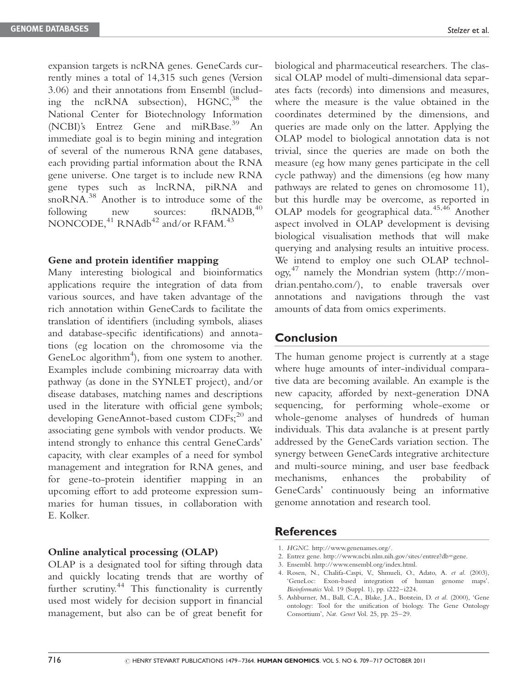expansion targets is ncRNA genes. GeneCards currently mines a total of 14,315 such genes (Version 3.06) and their annotations from Ensembl (including the ncRNA subsection),  $HGNC<sub>1</sub><sup>38</sup>$  the National Center for Biotechnology Information (NCBI)'s Entrez Gene and miRBase.<sup>39</sup> An immediate goal is to begin mining and integration of several of the numerous RNA gene databases, each providing partial information about the RNA gene universe. One target is to include new RNA gene types such as lncRNA, piRNA and snoRNA.38 Another is to introduce some of the following new sources: fRNADB, <sup>40</sup> NONCODE, $^{41}$  RNAdb<sup>42</sup> and/or RFAM.<sup>43</sup>

#### Gene and protein identifier mapping

Many interesting biological and bioinformatics applications require the integration of data from various sources, and have taken advantage of the rich annotation within GeneCards to facilitate the translation of identifiers (including symbols, aliases and database-specific identifications) and annotations (eg location on the chromosome via the GeneLoc algorithm<sup>4</sup>), from one system to another. Examples include combining microarray data with pathway (as done in the SYNLET project), and/or disease databases, matching names and descriptions used in the literature with official gene symbols; developing GeneAnnot-based custom CDFs;<sup>20</sup> and associating gene symbols with vendor products. We intend strongly to enhance this central GeneCards' capacity, with clear examples of a need for symbol management and integration for RNA genes, and for gene-to-protein identifier mapping in an upcoming effort to add proteome expression summaries for human tissues, in collaboration with E. Kolker.

#### Online analytical processing (OLAP)

OLAP is a designated tool for sifting through data and quickly locating trends that are worthy of further scrutiny.<sup>44</sup> This functionality is currently used most widely for decision support in financial management, but also can be of great benefit for

biological and pharmaceutical researchers. The classical OLAP model of multi-dimensional data separates facts (records) into dimensions and measures, where the measure is the value obtained in the coordinates determined by the dimensions, and queries are made only on the latter. Applying the OLAP model to biological annotation data is not trivial, since the queries are made on both the measure (eg how many genes participate in the cell cycle pathway) and the dimensions (eg how many pathways are related to genes on chromosome 11), but this hurdle may be overcome, as reported in OLAP models for geographical data. $45,46$  Another aspect involved in OLAP development is devising biological visualisation methods that will make querying and analysing results an intuitive process. We intend to employ one such OLAP technology, <sup>47</sup> namely the Mondrian system (http://mondrian.pentaho.com/), to enable traversals over annotations and navigations through the vast

## Conclusion

The human genome project is currently at a stage where huge amounts of inter-individual comparative data are becoming available. An example is the new capacity, afforded by next-generation DNA sequencing, for performing whole-exome or whole-genome analyses of hundreds of human individuals. This data avalanche is at present partly addressed by the GeneCards variation section. The synergy between GeneCards integrative architecture and multi-source mining, and user base feedback mechanisms, enhances the probability of GeneCards' continuously being an informative genome annotation and research tool.

amounts of data from omics experiments.

## References

- 1. HGNC. http://www.genenames.org/.
- 2. Entrez gene. http://www.ncbi.nlm.nih.gov/sites/entrez?db=gene.
- 3. Ensembl. http://www.ensembl.org/index.html.
- 4. Rosen, N., Chalifa-Caspi, V., Shmueli, O., Adato, A. et al. (2003), 'GeneLoc: Exon-based integration of human genome maps'. Bioinformatics Vol. 19 (Suppl. 1), pp. i222–i224.
- 5. Ashburner, M., Ball, C.A., Blake, J.A., Botstein, D. et al. (2000), 'Gene ontology: Tool for the unification of biology. The Gene Ontology Consortium', Nat. Genet Vol. 25, pp. 25–29.